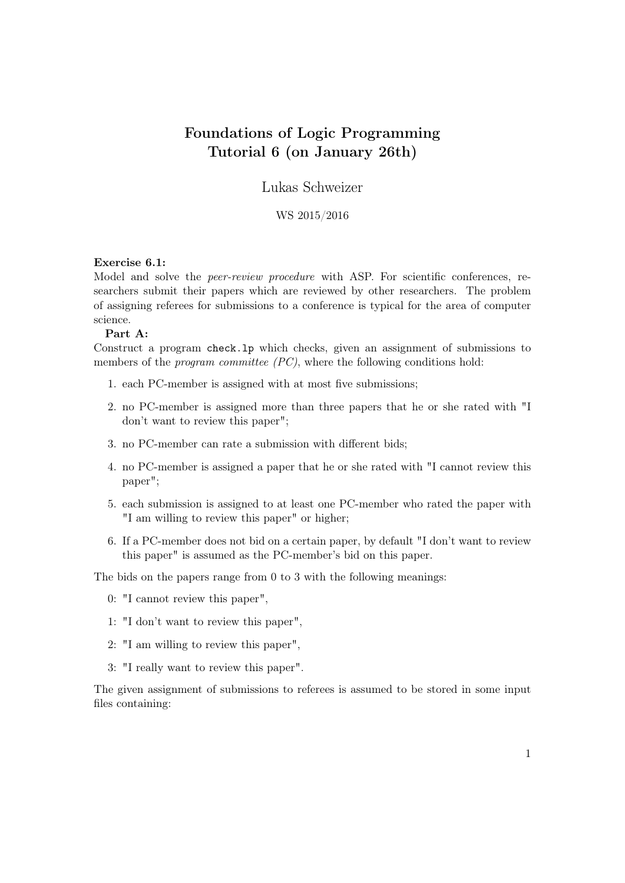# Foundations of Logic Programming Tutorial 6 (on January 26th)

Lukas Schweizer

## WS 2015/2016

#### Exercise 6.1:

Model and solve the *peer-review procedure* with ASP. For scientific conferences, researchers submit their papers which are reviewed by other researchers. The problem of assigning referees for submissions to a conference is typical for the area of computer science.

#### Part A:

Construct a program check.lp which checks, given an assignment of submissions to members of the *program committee (PC)*, where the following conditions hold:

- 1. each PC-member is assigned with at most five submissions;
- 2. no PC-member is assigned more than three papers that he or she rated with "I don't want to review this paper";
- 3. no PC-member can rate a submission with different bids;
- 4. no PC-member is assigned a paper that he or she rated with "I cannot review this paper";
- 5. each submission is assigned to at least one PC-member who rated the paper with "I am willing to review this paper" or higher;
- 6. If a PC-member does not bid on a certain paper, by default "I don't want to review this paper" is assumed as the PC-member's bid on this paper.

The bids on the papers range from 0 to 3 with the following meanings:

- 0: "I cannot review this paper",
- 1: "I don't want to review this paper",
- 2: "I am willing to review this paper",
- 3: "I really want to review this paper".

The given assignment of submissions to referees is assumed to be stored in some input files containing: